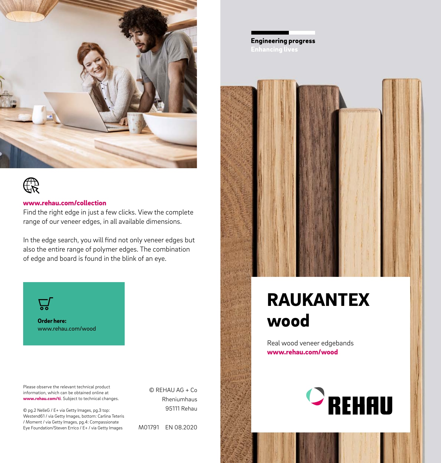



#### www.rehau.com/collection

Find the right edge in just a few clicks. View the complete range of our veneer edges, in all available dimensions.

In the edge search, you will find not only veneer edges but also the entire range of polymer edges. The combination of edge and board is found in the blink of an eye.



Order here: www.rehau.com/wood

Please observe the relevant technical product information, which can be obtained online at www.rehau.com/ti. Subject to technical changes.

© pg.2 NelleG / E+ via Getty Images, pg.3 top: Westend61 / via Getty Images, bottom: Carlina Teteris / Moment / via Getty Images, pg.4: Compassionate Eye Foundation/Steven Errico / E+ / via Getty Images

© REHAU AG + Co Rheniumhaus 95111 Rehau

M01791 EN 08.2020

**Engineering progress** 



## RAUKANTEX wood

Real wood veneer edgebands www.rehau.com/wood